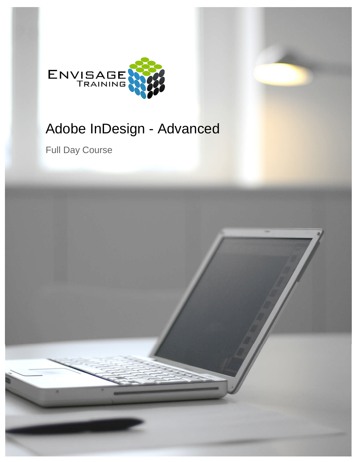

# Adobe InDesign - Advanced

Full Day Course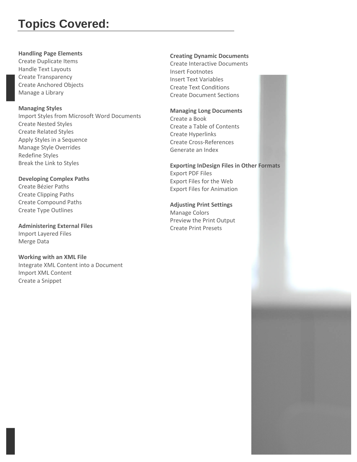# **Topics Covered:**

### **Handling Page Elements**

Create Duplicate Items Handle Text Layouts Create Transparency Create Anchored Objects Manage a Library

# **Managing Styles** Import Styles from Microsoft Word Documents Create Nested Styles Create Related Styles Apply Styles in a Sequence Manage Style Overrides Redefine Styles Break the Link to Styles

# **Developing Complex Paths** Create Bézier Paths Create Clipping Paths Create Compound Paths Create Type Outlines

**Administering External Files** Import Layered Files Merge Data

# **Working with an XML File**

Integrate XML Content into a Document Import XML Content Create a Snippet

# **Creating Dynamic Documents**

Create Interactive Documents Insert Footnotes Insert Text Variables Create Text Conditions Create Document Sections

# **Managing Long Documents**

Create a Book Create a Table of Contents Create Hyperlinks Create Cross-References Generate an Index

**Exporting InDesign Files in Other Formats** Export PDF Files Export Files for the Web Export Files for Animation

**Adjusting Print Settings** Manage Colors Preview the Print Output Create Print Presets